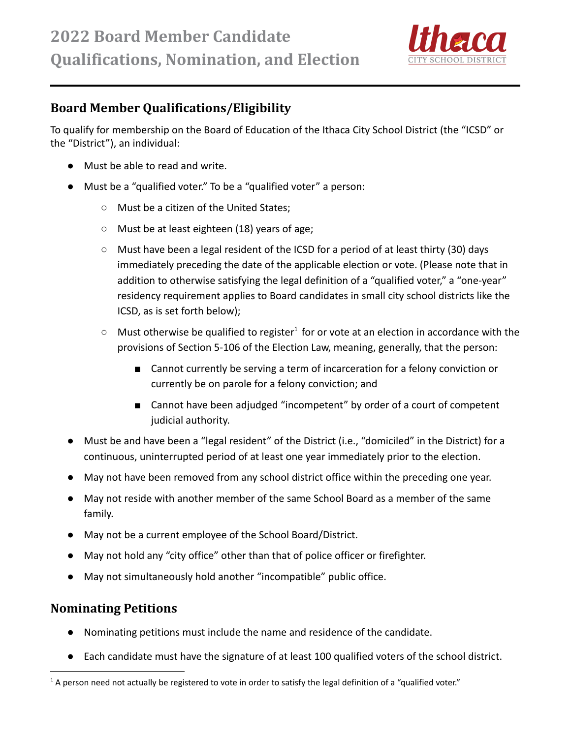

## **Board Member Qualifications/Eligibility**

To qualify for membership on the Board of Education of the Ithaca City School District (the "ICSD" or the "District"), an individual:

- Must be able to read and write.
- Must be a "qualified voter." To be a "qualified voter" a person:
	- Must be a citizen of the United States;
	- Must be at least eighteen (18) years of age;
	- Must have been a legal resident of the ICSD for a period of at least thirty (30) days immediately preceding the date of the applicable election or vote. (Please note that in addition to otherwise satisfying the legal definition of a "qualified voter," a "one-year" residency requirement applies to Board candidates in small city school districts like the ICSD, as is set forth below);
	- $\circ$  Must otherwise be qualified to register<sup>1</sup> for or vote at an election in accordance with the provisions of Section 5-106 of the Election Law, meaning, generally, that the person:
		- Cannot currently be serving a term of incarceration for a felony conviction or currently be on parole for a felony conviction; and
		- Cannot have been adjudged "incompetent" by order of a court of competent judicial authority.
- Must be and have been a "legal resident" of the District (i.e., "domiciled" in the District) for a continuous, uninterrupted period of at least one year immediately prior to the election.
- May not have been removed from any school district office within the preceding one year.
- May not reside with another member of the same School Board as a member of the same family.
- May not be a current employee of the School Board/District.
- May not hold any "city office" other than that of police officer or firefighter.
- May not simultaneously hold another "incompatible" public office.

## **Nominating Petitions**

- Nominating petitions must include the name and residence of the candidate.
- Each candidate must have the signature of at least 100 qualified voters of the school district.

 $1$  A person need not actually be registered to vote in order to satisfy the legal definition of a "qualified voter."